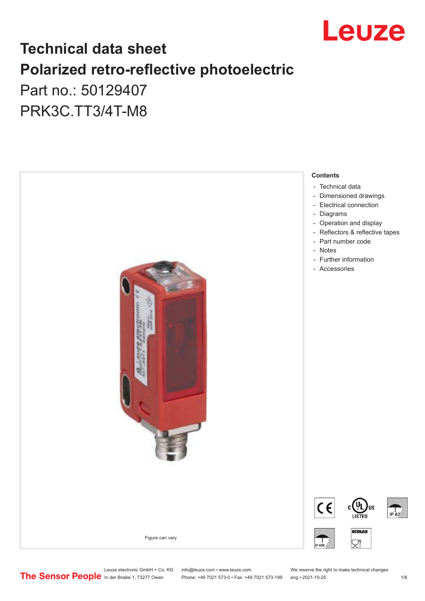

## **Technical data sheet Polarized retro-reflective photoelectric**  Part no.: 50129407

PRK3C.TT3/4T-M8



Leuze electronic GmbH + Co. KG info@leuze.com • www.leuze.com We reserve the right to make technical changes<br>
The Sensor People in der Braike 1, 73277 Owen Phone: +49 7021 573-0 • Fax: +49 7021 573-199 eng • 2021-10-25

Phone: +49 7021 573-0 • Fax: +49 7021 573-199 eng • 2021-10-25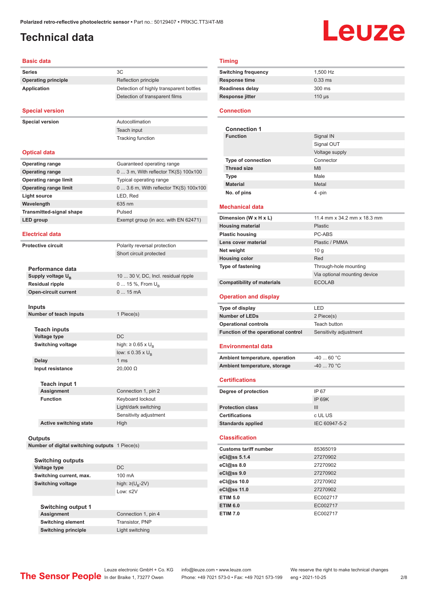## <span id="page-1-0"></span>**Technical data**

# Leuze

#### **Basic data**

|                    | <b>Basic data</b>                              |                                         |  |
|--------------------|------------------------------------------------|-----------------------------------------|--|
| <b>Series</b>      |                                                | ЗC                                      |  |
|                    | <b>Operating principle</b>                     | Reflection principle                    |  |
| <b>Application</b> |                                                | Detection of highly transparent bottles |  |
|                    |                                                | Detection of transparent films          |  |
|                    | <b>Special version</b>                         |                                         |  |
|                    | <b>Special version</b>                         | Autocollimation                         |  |
|                    |                                                | Teach input                             |  |
|                    |                                                | <b>Tracking function</b>                |  |
|                    |                                                |                                         |  |
|                    | <b>Optical data</b>                            |                                         |  |
|                    | <b>Operating range</b>                         | Guaranteed operating range              |  |
|                    | <b>Operating range</b>                         | $03$ m, With reflector $TK(S)$ 100x100  |  |
|                    | <b>Operating range limit</b>                   | Typical operating range                 |  |
|                    | <b>Operating range limit</b>                   | $0$ 3.6 m, With reflector TK(S) 100x100 |  |
|                    | <b>Light source</b>                            | LED, Red                                |  |
|                    | Wavelength                                     | 635 nm                                  |  |
|                    | <b>Transmitted-signal shape</b>                | Pulsed                                  |  |
|                    | LED group                                      | Exempt group (in acc. with EN 62471)    |  |
|                    |                                                |                                         |  |
|                    | <b>Electrical data</b>                         |                                         |  |
|                    | <b>Protective circuit</b>                      | Polarity reversal protection            |  |
|                    |                                                | Short circuit protected                 |  |
|                    |                                                |                                         |  |
|                    | Performance data                               |                                         |  |
|                    | Supply voltage U <sub>B</sub>                  | 10  30 V, DC, Incl. residual ripple     |  |
|                    | <b>Residual ripple</b>                         | 0  15 %, From $U_{\rm B}$               |  |
|                    | <b>Open-circuit current</b>                    | 015mA                                   |  |
|                    | Inputs                                         |                                         |  |
|                    | Number of teach inputs                         | 1 Piece(s)                              |  |
|                    |                                                |                                         |  |
|                    | <b>Teach inputs</b>                            |                                         |  |
|                    | <b>Voltage type</b>                            | DC                                      |  |
|                    | Switching voltage                              | high: $\geq 0.65 \times U_{\rm B}$      |  |
|                    |                                                | low: $\leq 0.35 \times U_{\rm B}$       |  |
|                    | <b>Delay</b>                                   | 1 ms                                    |  |
|                    | Input resistance                               | 20,000 Ω                                |  |
|                    |                                                |                                         |  |
|                    | Teach input 1<br><b>Assignment</b>             | Connection 1, pin 2                     |  |
|                    | <b>Function</b>                                | Keyboard lockout                        |  |
|                    |                                                | Light/dark switching                    |  |
|                    |                                                | Sensitivity adjustment                  |  |
|                    | <b>Active switching state</b>                  | High                                    |  |
|                    |                                                |                                         |  |
|                    | Outputs                                        |                                         |  |
|                    | Number of digital switching outputs 1 Piece(s) |                                         |  |
|                    |                                                |                                         |  |
|                    | <b>Switching outputs</b>                       |                                         |  |
|                    | <b>Voltage type</b>                            | DC                                      |  |
|                    | Switching current, max.                        | 100 mA                                  |  |
|                    | <b>Switching voltage</b>                       | high: $\geq (U_{B} - 2V)$               |  |
|                    |                                                | Low: $\leq$ 2V                          |  |
|                    |                                                |                                         |  |
|                    | <b>Switching output 1</b><br><b>Assignment</b> | Connection 1, pin 4                     |  |
|                    | <b>Switching element</b>                       | Transistor, PNP                         |  |
|                    |                                                |                                         |  |

#### **Timing**

| <b>Switching frequency</b> | 1.500 Hz         |
|----------------------------|------------------|
| Response time              | $0.33$ ms        |
| Readiness delay            | $300 \text{ ms}$ |
| Response jitter            | $110$ us         |
|                            |                  |

#### **Connection**

| <b>Connection 1</b>       |                |  |  |  |
|---------------------------|----------------|--|--|--|
| <b>Function</b>           | Signal IN      |  |  |  |
|                           | Signal OUT     |  |  |  |
|                           | Voltage supply |  |  |  |
| <b>Type of connection</b> | Connector      |  |  |  |
| <b>Thread size</b>        | M <sub>8</sub> |  |  |  |
| <b>Type</b>               | Male           |  |  |  |
| <b>Material</b>           | Metal          |  |  |  |
| No. of pins               | 4 -pin         |  |  |  |

#### **Mechanical data**

| Dimension (W x H x L)             | 11.4 mm x 34.2 mm x 18.3 mm  |  |
|-----------------------------------|------------------------------|--|
| <b>Housing material</b>           | <b>Plastic</b>               |  |
| <b>Plastic housing</b>            | PC-ABS                       |  |
| Lens cover material               | Plastic / PMMA               |  |
| Net weight                        | 10q                          |  |
| <b>Housing color</b>              | Red                          |  |
| <b>Type of fastening</b>          | Through-hole mounting        |  |
|                                   | Via optional mounting device |  |
| <b>Compatibility of materials</b> | <b>ECOLAB</b>                |  |

#### **Operation and display**

| Type of display                     | I FD.                  |
|-------------------------------------|------------------------|
| Number of LEDs                      | 2 Piece(s)             |
| <b>Operational controls</b>         | Teach button           |
| Function of the operational control | Sensitivity adjustment |

#### **Environmental data**

| Ambient temperature, operation | $-4060 °C$ |
|--------------------------------|------------|
| Ambient temperature, storage   | -40  70 °C |

#### **Certifications**

| Degree of protection     | IP 67         |
|--------------------------|---------------|
|                          | IP 69K        |
| <b>Protection class</b>  | Ш             |
| <b>Certifications</b>    | c UL US       |
| <b>Standards applied</b> | IEC 60947-5-2 |

#### **Classification**

| <b>Customs tariff number</b> | 85365019 |  |
|------------------------------|----------|--|
| eCl@ss 5.1.4                 | 27270902 |  |
| eCl@ss 8.0                   | 27270902 |  |
| eCl@ss 9.0                   | 27270902 |  |
| eCl@ss 10.0                  | 27270902 |  |
| eCl@ss 11.0                  | 27270902 |  |
| <b>ETIM 5.0</b>              | EC002717 |  |
| <b>ETIM 6.0</b>              | EC002717 |  |
| <b>ETIM 7.0</b>              | EC002717 |  |

**Switching principle** Light switching

Leuze electronic GmbH + Co. KG info@leuze.com • www.leuze.com We reserve the right to make technical changes<br>
The Sensor People in der Braike 1, 73277 Owen Phone: +49 7021 573-0 • Fax: +49 7021 573-199 eng • 2021-10-25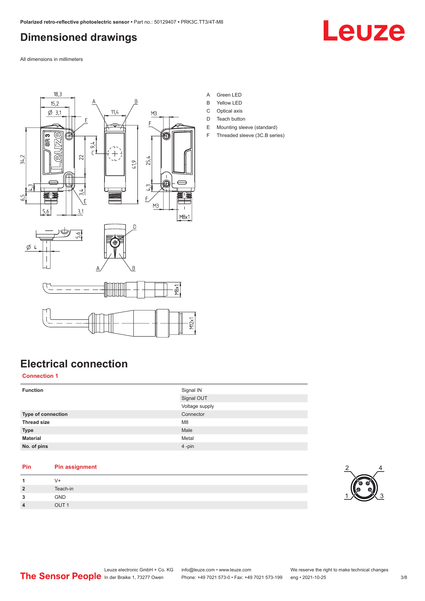## <span id="page-2-0"></span>**Dimensioned drawings**



All dimensions in millimeters



- A Green LED
- B Yellow LED
- C Optical axis D Teach button
- E Mounting sleeve (standard)
- F Threaded sleeve (3C.B series)

## **Electrical connection**

#### **Connection 1**

| <b>Function</b>    | Signal IN      |
|--------------------|----------------|
|                    | Signal OUT     |
|                    | Voltage supply |
| Type of connection | Connector      |
| <b>Thread size</b> | M <sub>8</sub> |
| <b>Type</b>        | Male           |
| <b>Material</b>    | Metal          |
| No. of pins        | 4-pin          |

#### **Pin Pin assignment 1** V+ **2** Teach-in

| $\overline{2}$ | Teach-in         |
|----------------|------------------|
| 3              | GND              |
| 4              | OUT <sub>1</sub> |
|                |                  |

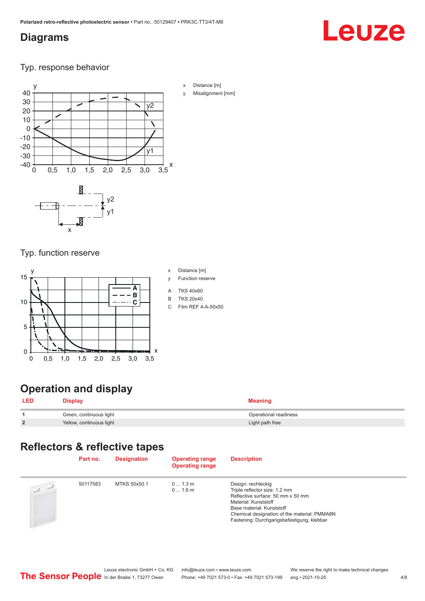#### <span id="page-3-0"></span>**Diagrams**

## Leuze

Typ. response behavior



- x Distance [m]
- Misalignment [mm]

Typ. function reserve

x



## **Operation and display**

|   | <b>Display</b>           | Meaning               |
|---|--------------------------|-----------------------|
|   | Green, continuous light  | Operational readiness |
| 2 | Yellow, continuous light | Light path free       |

## **Reflectors & reflective tapes**

| Part no. | <b>Designation</b> | <b>Operating range</b><br><b>Operating range</b> | <b>Description</b>                                                                                                                                                                                                                         |
|----------|--------------------|--------------------------------------------------|--------------------------------------------------------------------------------------------------------------------------------------------------------------------------------------------------------------------------------------------|
| 50117583 | MTKS 50x50.1       | 01.3m<br>01.6m                                   | Design: rechteckig<br>Triple reflector size: 1.2 mm<br>Reflective surface: 50 mm x 50 mm<br>Material: Kunststoff<br>Base material: Kunststoff<br>Chemical designation of the material: PMMA8N<br>Fastening: Durchgangsbefestigung, klebbar |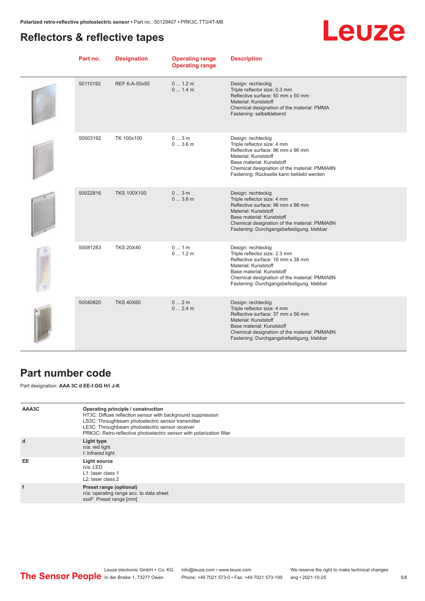### <span id="page-4-0"></span>**Reflectors & reflective tapes**

## **Leuze**

| Part no. | <b>Designation</b> | <b>Operating range</b><br><b>Operating range</b> | <b>Description</b>                                                                                                                                                                                                                         |
|----------|--------------------|--------------------------------------------------|--------------------------------------------------------------------------------------------------------------------------------------------------------------------------------------------------------------------------------------------|
| 50110192 | REF 6-A-50x50      | 0 1.2 m<br>01.4m                                 | Design: rechteckig<br>Triple reflector size: 0.3 mm<br>Reflective surface: 50 mm x 50 mm<br>Material: Kunststoff<br>Chemical designation of the material: PMMA<br>Fastening: selbstklebend                                                 |
| 50003192 | TK 100x100         | 03m<br>03.6m                                     | Design: rechteckig<br>Triple reflector size: 4 mm<br>Reflective surface: 96 mm x 96 mm<br>Material: Kunststoff<br>Base material: Kunststoff<br>Chemical designation of the material: PMMA8N<br>Fastening: Rückseite kann beklebt werden    |
| 50022816 | <b>TKS 100X100</b> | 03m<br>03.6m                                     | Design: rechteckig<br>Triple reflector size: 4 mm<br>Reflective surface: 96 mm x 96 mm<br>Material: Kunststoff<br>Base material: Kunststoff<br>Chemical designation of the material: PMMA8N<br>Fastening: Durchgangsbefestigung, klebbar   |
| 50081283 | <b>TKS 20X40</b>   | 01m<br>01.2m                                     | Design: rechteckig<br>Triple reflector size: 2.3 mm<br>Reflective surface: 16 mm x 38 mm<br>Material: Kunststoff<br>Base material: Kunststoff<br>Chemical designation of the material: PMMA8N<br>Fastening: Durchgangsbefestigung, klebbar |
| 50040820 | <b>TKS 40X60</b>   | 02m<br>02.4m                                     | Design: rechteckig<br>Triple reflector size: 4 mm<br>Reflective surface: 37 mm x 56 mm<br>Material: Kunststoff<br>Base material: Kunststoff<br>Chemical designation of the material: PMMA8N<br>Fastening: Durchgangsbefestigung, klebbar   |

#### **Part number code**

Part designation: **AAA 3C d EE-f.GG H/i J-K**

| AAA3C | Operating principle / construction<br>HT3C: Diffuse reflection sensor with background suppression<br>LS3C: Throughbeam photoelectric sensor transmitter<br>LE3C: Throughbeam photoelectric sensor receiver<br>PRK3C: Retro-reflective photoelectric sensor with polarization filter |
|-------|-------------------------------------------------------------------------------------------------------------------------------------------------------------------------------------------------------------------------------------------------------------------------------------|
| d     | Light type<br>n/a: red light<br>I: infrared light                                                                                                                                                                                                                                   |
| EE    | Light source<br>$n/a$ : LED<br>L1: laser class 1<br>$L2$ : laser class 2                                                                                                                                                                                                            |
|       | Preset range (optional)<br>n/a: operating range acc. to data sheet<br>xxxF: Preset range [mm]                                                                                                                                                                                       |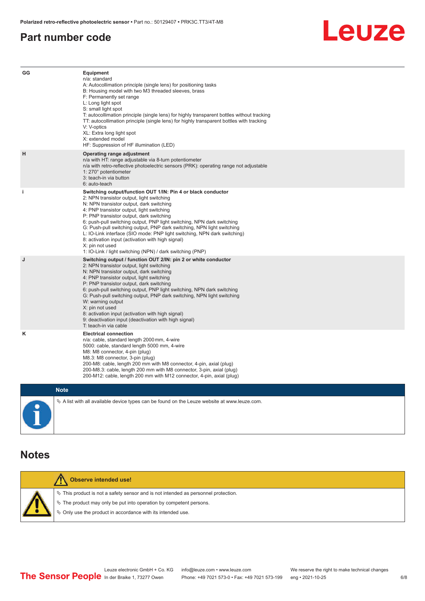#### <span id="page-5-0"></span>**Part number code**



| GG          | Equipment<br>n/a: standard<br>A: Autocollimation principle (single lens) for positioning tasks<br>B: Housing model with two M3 threaded sleeves, brass<br>F: Permanently set range<br>L: Long light spot<br>S: small light spot<br>T: autocollimation principle (single lens) for highly transparent bottles without tracking<br>TT: autocollimation principle (single lens) for highly transparent bottles with tracking<br>V: V-optics<br>XL: Extra long light spot<br>X: extended model<br>HF: Suppression of HF illumination (LED)                                                                              |
|-------------|---------------------------------------------------------------------------------------------------------------------------------------------------------------------------------------------------------------------------------------------------------------------------------------------------------------------------------------------------------------------------------------------------------------------------------------------------------------------------------------------------------------------------------------------------------------------------------------------------------------------|
| н           | Operating range adjustment<br>n/a with HT: range adjustable via 8-turn potentiometer<br>n/a with retro-reflective photoelectric sensors (PRK): operating range not adjustable<br>1: 270° potentiometer<br>3: teach-in via button<br>6: auto-teach                                                                                                                                                                                                                                                                                                                                                                   |
| j.          | Switching output/function OUT 1/IN: Pin 4 or black conductor<br>2: NPN transistor output, light switching<br>N: NPN transistor output, dark switching<br>4: PNP transistor output, light switching<br>P: PNP transistor output, dark switching<br>6: push-pull switching output, PNP light switching, NPN dark switching<br>G: Push-pull switching output, PNP dark switching, NPN light switching<br>L: IO-Link interface (SIO mode: PNP light switching, NPN dark switching)<br>8: activation input (activation with high signal)<br>X: pin not used<br>1: IO-Link / light switching (NPN) / dark switching (PNP) |
| J           | Switching output / function OUT 2/IN: pin 2 or white conductor<br>2: NPN transistor output, light switching<br>N: NPN transistor output, dark switching<br>4: PNP transistor output, light switching<br>P: PNP transistor output, dark switching<br>6: push-pull switching output, PNP light switching, NPN dark switching<br>G: Push-pull switching output, PNP dark switching, NPN light switching<br>W: warning output<br>X: pin not used<br>8: activation input (activation with high signal)<br>9: deactivation input (deactivation with high signal)<br>T: teach-in via cable                                 |
| κ           | <b>Electrical connection</b><br>n/a: cable, standard length 2000 mm, 4-wire<br>5000: cable, standard length 5000 mm, 4-wire<br>M8: M8 connector, 4-pin (plug)<br>M8.3: M8 connector, 3-pin (plug)<br>200-M8: cable, length 200 mm with M8 connector, 4-pin, axial (plug)<br>200-M8.3: cable, length 200 mm with M8 connector, 3-pin, axial (plug)<br>200-M12: cable, length 200 mm with M12 connector, 4-pin, axial (plug)                                                                                                                                                                                          |
| <b>Note</b> |                                                                                                                                                                                                                                                                                                                                                                                                                                                                                                                                                                                                                     |

 $\%$  A list with all available device types can be found on the Leuze website at www.leuze.com.

#### **Notes**

| Observe intended use!                                                                 |
|---------------------------------------------------------------------------------------|
| $\%$ This product is not a safety sensor and is not intended as personnel protection. |
| ₹ The product may only be put into operation by competent persons.                    |
| $\%$ Only use the product in accordance with its intended use.                        |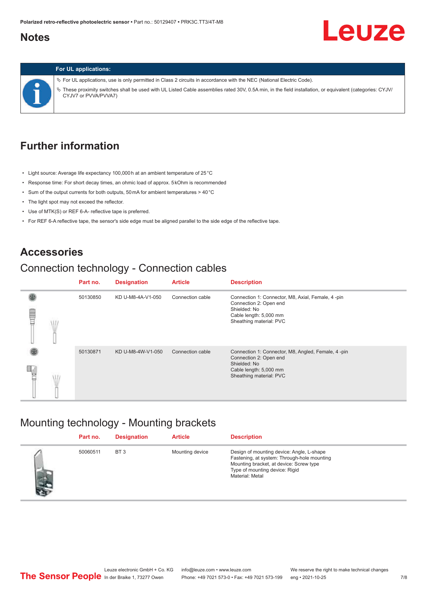### <span id="page-6-0"></span>**Notes**

## **Leuze**



#### **For UL applications:**

ª For UL applications, use is only permitted in Class 2 circuits in accordance with the NEC (National Electric Code). ª These proximity switches shall be used with UL Listed Cable assemblies rated 30V, 0.5A min, in the field installation, or equivalent (categories: CYJV/ CYJV7 or PVVA/PVVA7)

### **Further information**

- Light source: Average life expectancy 100,000 h at an ambient temperature of 25 °C
- Response time: For short decay times, an ohmic load of approx. 5 kOhm is recommended
- Sum of the output currents for both outputs, 50 mA for ambient temperatures > 40 °C
- The light spot may not exceed the reflector.
- Use of MTK(S) or REF 6-A- reflective tape is preferred.
- For REF 6-A reflective tape, the sensor's side edge must be aligned parallel to the side edge of the reflective tape.

#### **Accessories**

### Connection technology - Connection cables

|   | Part no. | <b>Designation</b> | <b>Article</b>   | <b>Description</b>                                                                                                                                |
|---|----------|--------------------|------------------|---------------------------------------------------------------------------------------------------------------------------------------------------|
| ŧ | 50130850 | KD U-M8-4A-V1-050  | Connection cable | Connection 1: Connector, M8, Axial, Female, 4 -pin<br>Connection 2: Open end<br>Shielded: No<br>Cable length: 5,000 mm<br>Sheathing material: PVC |
|   | 50130871 | KD U-M8-4W-V1-050  | Connection cable | Connection 1: Connector, M8, Angled, Female, 4-pin<br>Connection 2: Open end<br>Shielded: No<br>Cable length: 5,000 mm<br>Sheathing material: PVC |

#### Mounting technology - Mounting brackets

|     | Part no. | <b>Designation</b> | <b>Article</b>  | <b>Description</b>                                                                                                                                                                       |
|-----|----------|--------------------|-----------------|------------------------------------------------------------------------------------------------------------------------------------------------------------------------------------------|
| 474 | 50060511 | BT <sub>3</sub>    | Mounting device | Design of mounting device: Angle, L-shape<br>Fastening, at system: Through-hole mounting<br>Mounting bracket, at device: Screw type<br>Type of mounting device: Rigid<br>Material: Metal |